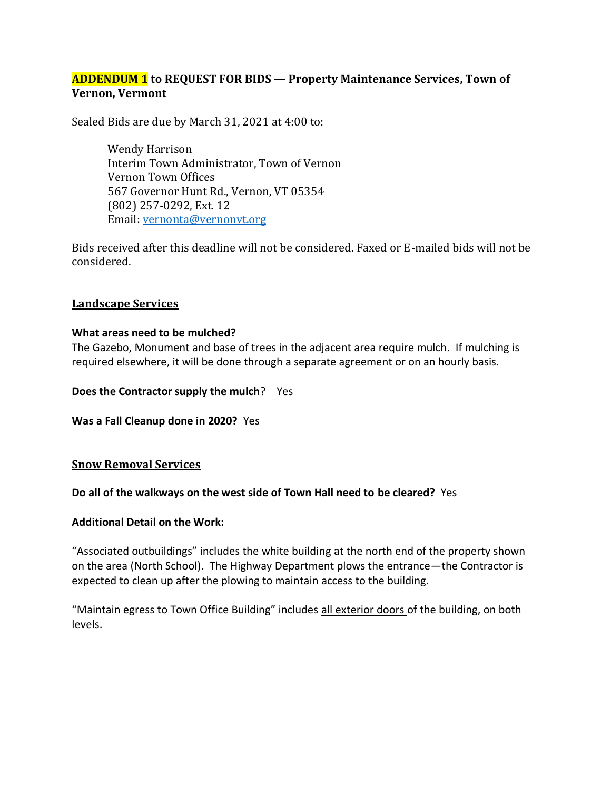### **ADDENDUM 1 to REQUEST FOR BIDS — Property Maintenance Services, Town of Vernon, Vermont**

Sealed Bids are due by March 31, 2021 at 4:00 to:

Wendy Harrison Interim Town Administrator, Town of Vernon Vernon Town Offices 567 Governor Hunt Rd., Vernon, VT 05354 (802) 257-0292, Ext. 12 Email: vernonta@vernonvt.org

Bids received after this deadline will not be considered. Faxed or E-mailed bids will not be considered.

#### **Landscape Services**

#### **What areas need to be mulched?**

The Gazebo, Monument and base of trees in the adjacent area require mulch. If mulching is required elsewhere, it will be done through a separate agreement or on an hourly basis.

**Does the Contractor supply the mulch**? Yes

**Was a Fall Cleanup done in 2020?** Yes

#### **Snow Removal Services**

**Do all of the walkways on the west side of Town Hall need to be cleared?** Yes

#### **Additional Detail on the Work:**

"Associated outbuildings" includes the white building at the north end of the property shown on the area (North School). The Highway Department plows the entrance—the Contractor is expected to clean up after the plowing to maintain access to the building.

"Maintain egress to Town Office Building" includes all exterior doors of the building, on both levels.